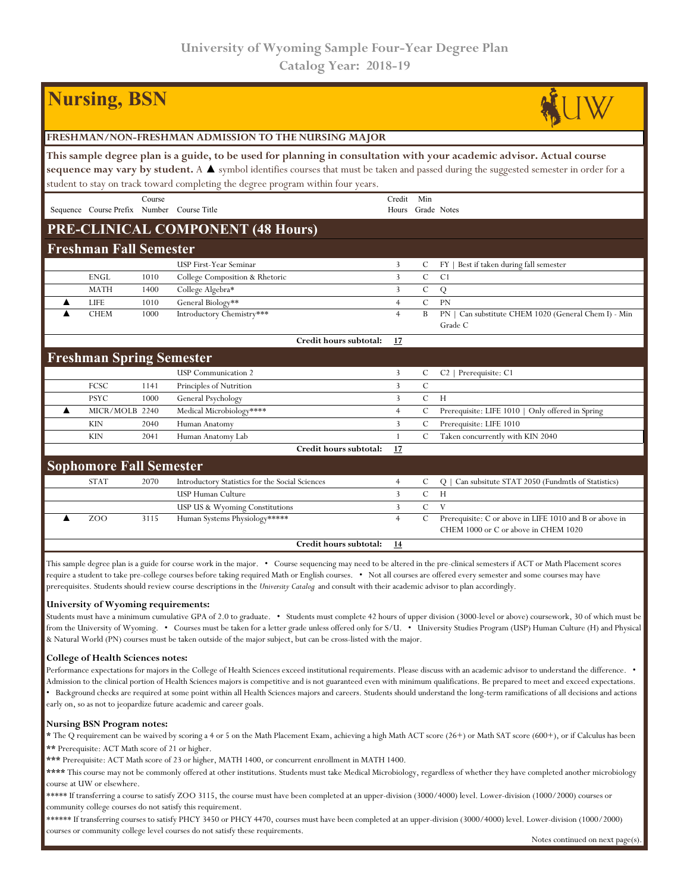# **Nursing, BSN**



**This sample degree plan is a guide, to be used for planning in consultation with your academic advisor. Actual course sequence may vary by student.** A ▲ symbol identifies courses that must be taken and passed during the suggested semester in order for a student to stay on track toward completing the degree program within four years.

|                                 |                               | Course |                                                 | Credit         | Min           |                                                                  |  |  |
|---------------------------------|-------------------------------|--------|-------------------------------------------------|----------------|---------------|------------------------------------------------------------------|--|--|
|                                 | Sequence Course Prefix Number |        | Course Title                                    | Hours          |               | Grade Notes                                                      |  |  |
|                                 |                               |        | PRE-CLINICAL COMPONENT (48 Hours)               |                |               |                                                                  |  |  |
| <b>Freshman Fall Semester</b>   |                               |        |                                                 |                |               |                                                                  |  |  |
|                                 |                               |        | <b>USP First-Year Seminar</b>                   | 3              | C             | Best if taken during fall semester<br>$FY$                       |  |  |
|                                 | <b>ENGL</b>                   | 1010   | College Composition & Rhetoric                  | 3              | $\mathsf{C}$  | C <sub>1</sub>                                                   |  |  |
|                                 | <b>MATH</b>                   | 1400   | College Algebra*                                | 3              | $\mathcal{C}$ | Q                                                                |  |  |
|                                 | <b>LIFE</b>                   | 1010   | General Biology**                               | 4              | $\mathcal{C}$ | <b>PN</b>                                                        |  |  |
|                                 | <b>CHEM</b>                   | 1000   | Introductory Chemistry***                       | $\overline{4}$ | B             | Can substitute CHEM 1020 (General Chem I) - Min<br>PN<br>Grade C |  |  |
|                                 |                               |        | Credit hours subtotal:                          | 17             |               |                                                                  |  |  |
| <b>Freshman Spring Semester</b> |                               |        |                                                 |                |               |                                                                  |  |  |
|                                 |                               |        | <b>USP</b> Communication 2                      | 3              | C             | $C2$   Prerequisite: $C1$                                        |  |  |
|                                 | <b>FCSC</b>                   | 1141   | Principles of Nutrition                         | 3              | $\mathcal{C}$ |                                                                  |  |  |
|                                 | <b>PSYC</b>                   | 1000   | General Psychology                              | 3              | $\mathcal{C}$ | H                                                                |  |  |
|                                 | MICR/MOLB 2240                |        | Medical Microbiology****                        | $\overline{4}$ | C             | Prerequisite: LIFE 1010   Only offered in Spring                 |  |  |
|                                 | <b>KIN</b>                    | 2040   | Human Anatomy                                   | 3              | C             | Prerequisite: LIFE 1010                                          |  |  |
|                                 | <b>KIN</b>                    | 2041   | Human Anatomy Lab                               | 1              | C             | Taken concurrently with KIN 2040                                 |  |  |
|                                 |                               |        | Credit hours subtotal:                          | 17             |               |                                                                  |  |  |
| <b>Sophomore Fall Semester</b>  |                               |        |                                                 |                |               |                                                                  |  |  |
|                                 | <b>STAT</b>                   | 2070   | Introductory Statistics for the Social Sciences | $\overline{4}$ | C             | Can subsitute STAT 2050 (Fundmtls of Statistics)<br>Q            |  |  |
|                                 |                               |        | <b>USP Human Culture</b>                        | 3              | $\mathcal{C}$ | H                                                                |  |  |
|                                 |                               |        | USP US & Wyoming Constitutions                  | 3              | $\mathcal{C}$ | V                                                                |  |  |
|                                 | ZOO                           | 3115   | Human Systems Physiology*****                   | $\overline{4}$ | $\mathbf C$   | Prerequisite: C or above in LIFE 1010 and B or above in          |  |  |
|                                 |                               |        |                                                 |                |               | CHEM 1000 or C or above in CHEM 1020                             |  |  |
|                                 |                               |        | Credit hours subtotal:                          | <u>14</u>      |               |                                                                  |  |  |

This sample degree plan is a guide for course work in the major. • Course sequencing may need to be altered in the pre-clinical semesters if ACT or Math Placement scores require a student to take pre-college courses before taking required Math or English courses. • Not all courses are offered every semester and some courses may have prerequisites. Students should review course descriptions in the *University Catalog* and consult with their academic advisor to plan accordingly.

### **University of Wyoming requirements:**

Students must have a minimum cumulative GPA of 2.0 to graduate. • Students must complete 42 hours of upper division (3000-level or above) coursework, 30 of which must be from the University of Wyoming. • Courses must be taken for a letter grade unless offered only for S/U. • University Studies Program (USP) Human Culture (H) and Physical & Natural World (PN) courses must be taken outside of the major subject, but can be cross-listed with the major.

### **College of Health Sciences notes:**

Performance expectations for majors in the College of Health Sciences exceed institutional requirements. Please discuss with an academic advisor to understand the difference. • Admission to the clinical portion of Health Sciences majors is competitive and is not guaranteed even with minimum qualifications. Be prepared to meet and exceed expectations. • Background checks are required at some point within all Health Sciences majors and careers. Students should understand the long-term ramifications of all decisions and actions early on, so as not to jeopardize future academic and career goals.

### **Nursing BSN Program notes:**

**\*** The Q requirement can be waived by scoring a 4 or 5 on the Math Placement Exam, achieving a high Math ACT score (26+) or Math SAT score (600+), or if Calculus has been **\*\*** Prerequisite: ACT Math score of 21 or higher.

**\*\*\*** Prerequisite: ACT Math score of 23 or higher, MATH 1400, or concurrent enrollment in MATH 1400.

\*\*\*\* This course may not be commonly offered at other institutions. Students must take Medical Microbiology, regardless of whether they have completed another microbiology course at UW or elsewhere.

\*\*\*\*\* If transferring a course to satisfy ZOO 3115, the course must have been completed at an upper-division (3000/4000) level. Lower-division (1000/2000) courses or community college courses do not satisfy this requirement.

\*\*\*\*\*\* If transferring courses to satisfy PHCY 3450 or PHCY 4470, courses must have been completed at an upper-division (3000/4000) level. Lower-division (1000/2000) courses or community college level courses do not satisfy these requirements.